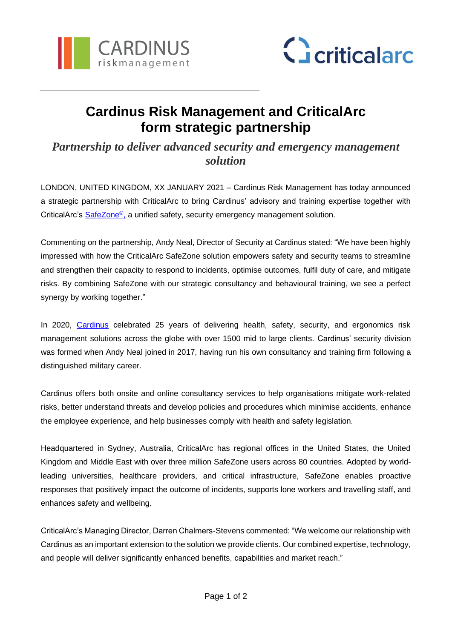



# **Cardinus Risk Management and CriticalArc form strategic partnership**

## *Partnership to deliver advanced security and emergency management solution*

LONDON, UNITED KINGDOM, XX JANUARY 2021 – Cardinus Risk Management has today announced a strategic partnership with CriticalArc to bring Cardinus' advisory and training expertise together with CriticalArc's [SafeZone](https://www.criticalarc.com/safezone-solution/)®, a unified safety, security emergency management solution.

Commenting on the partnership, Andy Neal, Director of Security at Cardinus stated: "We have been highly impressed with how the CriticalArc SafeZone solution empowers safety and security teams to streamline and strengthen their capacity to respond to incidents, optimise outcomes, fulfil duty of care, and mitigate risks. By combining SafeZone with our strategic consultancy and behavioural training, we see a perfect synergy by working together."

In 2020, [Cardinus](https://www.cardinus.com/) celebrated 25 years of delivering health, safety, security, and ergonomics risk management solutions across the globe with over 1500 mid to large clients. Cardinus' security division was formed when Andy Neal joined in 2017, having run his own consultancy and training firm following a distinguished military career.

Cardinus offers both onsite and online consultancy services to help organisations mitigate work-related risks, better understand threats and develop policies and procedures which minimise accidents, enhance the employee experience, and help businesses comply with health and safety legislation.

Headquartered in Sydney, Australia, CriticalArc has regional offices in the United States, the United Kingdom and Middle East with over three million SafeZone users across 80 countries. Adopted by worldleading universities, healthcare providers, and critical infrastructure, SafeZone enables proactive responses that positively impact the outcome of incidents, supports lone workers and travelling staff, and enhances safety and wellbeing.

CriticalArc's Managing Director, Darren Chalmers-Stevens commented: "We welcome our relationship with Cardinus as an important extension to the solution we provide clients. Our combined expertise, technology, and people will deliver significantly enhanced benefits, capabilities and market reach."